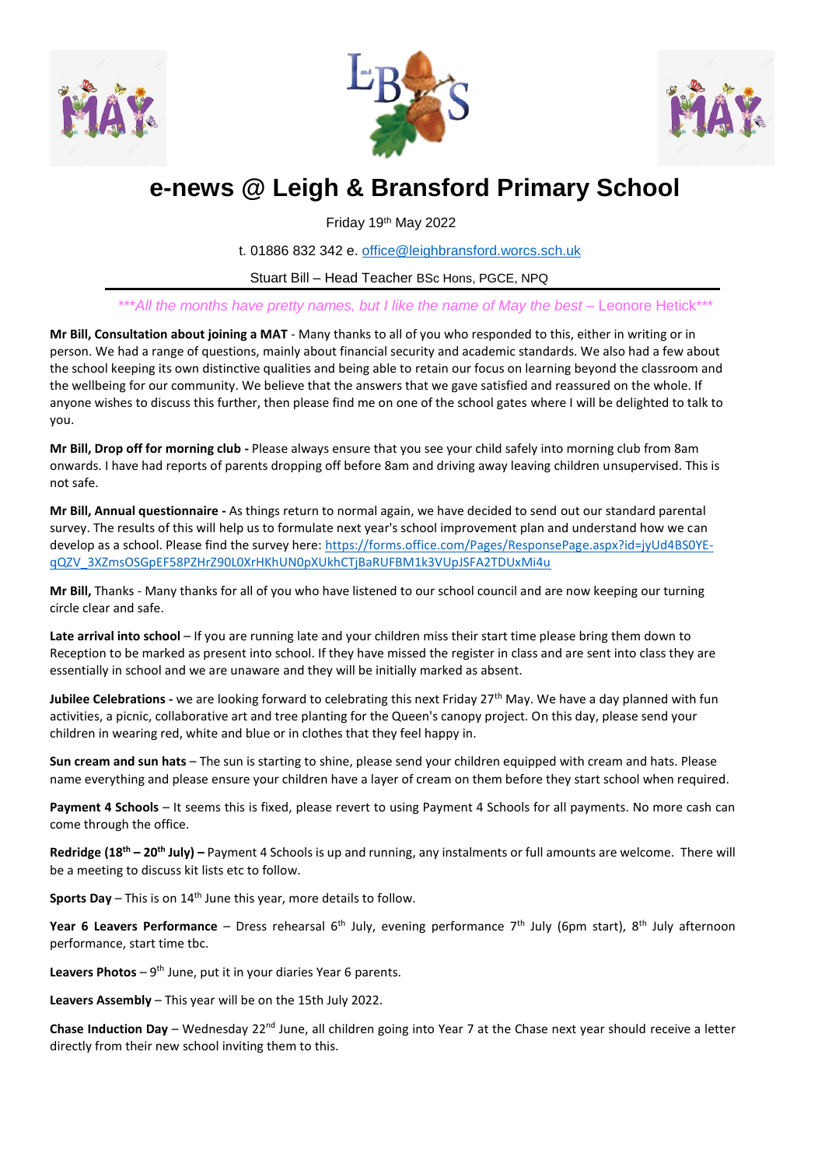





# **e-news @ Leigh & Bransford Primary School**

Friday 19th May 2022

t. 01886 832 342 e. [office@leighbransford.worcs.sch.uk](mailto:office@leighbransford.worcs.sch.uk)

Stuart Bill – Head Teacher BSc Hons, PGCE, NPQ

\*\*\*All the months have pretty names, but I like the name of May the best – Leonore Hetick\*\*\*

**Mr Bill, Consultation about joining a MAT** - Many thanks to all of you who responded to this, either in writing or in person. We had a range of questions, mainly about financial security and academic standards. We also had a few about the school keeping its own distinctive qualities and being able to retain our focus on learning beyond the classroom and the wellbeing for our community. We believe that the answers that we gave satisfied and reassured on the whole. If anyone wishes to discuss this further, then please find me on one of the school gates where I will be delighted to talk to you.

**Mr Bill, Drop off for morning club -** Please always ensure that you see your child safely into morning club from 8am onwards. I have had reports of parents dropping off before 8am and driving away leaving children unsupervised. This is not safe.

**Mr Bill, Annual questionnaire -** As things return to normal again, we have decided to send out our standard parental survey. The results of this will help us to formulate next year's school improvement plan and understand how we can develop as a school. Please find the survey here: [https://forms.office.com/Pages/ResponsePage.aspx?id=jyUd4BS0YE](https://forms.office.com/Pages/ResponsePage.aspx?id=jyUd4BS0YE-qQZV_3XZmsOSGpEF58PZHrZ90L0XrHKhUN0pXUkhCTjBaRUFBM1k3VUpJSFA2TDUxMi4u)[qQZV\\_3XZmsOSGpEF58PZHrZ90L0XrHKhUN0pXUkhCTjBaRUFBM1k3VUpJSFA2TDUxMi4u](https://forms.office.com/Pages/ResponsePage.aspx?id=jyUd4BS0YE-qQZV_3XZmsOSGpEF58PZHrZ90L0XrHKhUN0pXUkhCTjBaRUFBM1k3VUpJSFA2TDUxMi4u)

**Mr Bill,** Thanks - Many thanks for all of you who have listened to our school council and are now keeping our turning circle clear and safe.

**Late arrival into school** – If you are running late and your children miss their start time please bring them down to Reception to be marked as present into school. If they have missed the register in class and are sent into class they are essentially in school and we are unaware and they will be initially marked as absent.

Jubilee Celebrations - we are looking forward to celebrating this next Friday 27<sup>th</sup> May. We have a day planned with fun activities, a picnic, collaborative art and tree planting for the Queen's canopy project. On this day, please send your children in wearing red, white and blue or in clothes that they feel happy in.

**Sun cream and sun hats** – The sun is starting to shine, please send your children equipped with cream and hats. Please name everything and please ensure your children have a layer of cream on them before they start school when required.

**Payment 4 Schools** – It seems this is fixed, please revert to using Payment 4 Schools for all payments. No more cash can come through the office.

**Redridge (18th – 20th July) –** Payment 4 Schools is up and running, any instalments or full amounts are welcome. There will be a meeting to discuss kit lists etc to follow.

**Sports Day** – This is on 14<sup>th</sup> June this year, more details to follow.

Year 6 Leavers Performance – Dress rehearsal 6<sup>th</sup> July, evening performance 7<sup>th</sup> July (6pm start), 8<sup>th</sup> July afternoon performance, start time tbc.

Leavers Photos - 9<sup>th</sup> June, put it in your diaries Year 6 parents.

**Leavers Assembly** – This year will be on the 15th July 2022.

**Chase Induction Day** – Wednesday 22<sup>nd</sup> June, all children going into Year 7 at the Chase next year should receive a letter directly from their new school inviting them to this.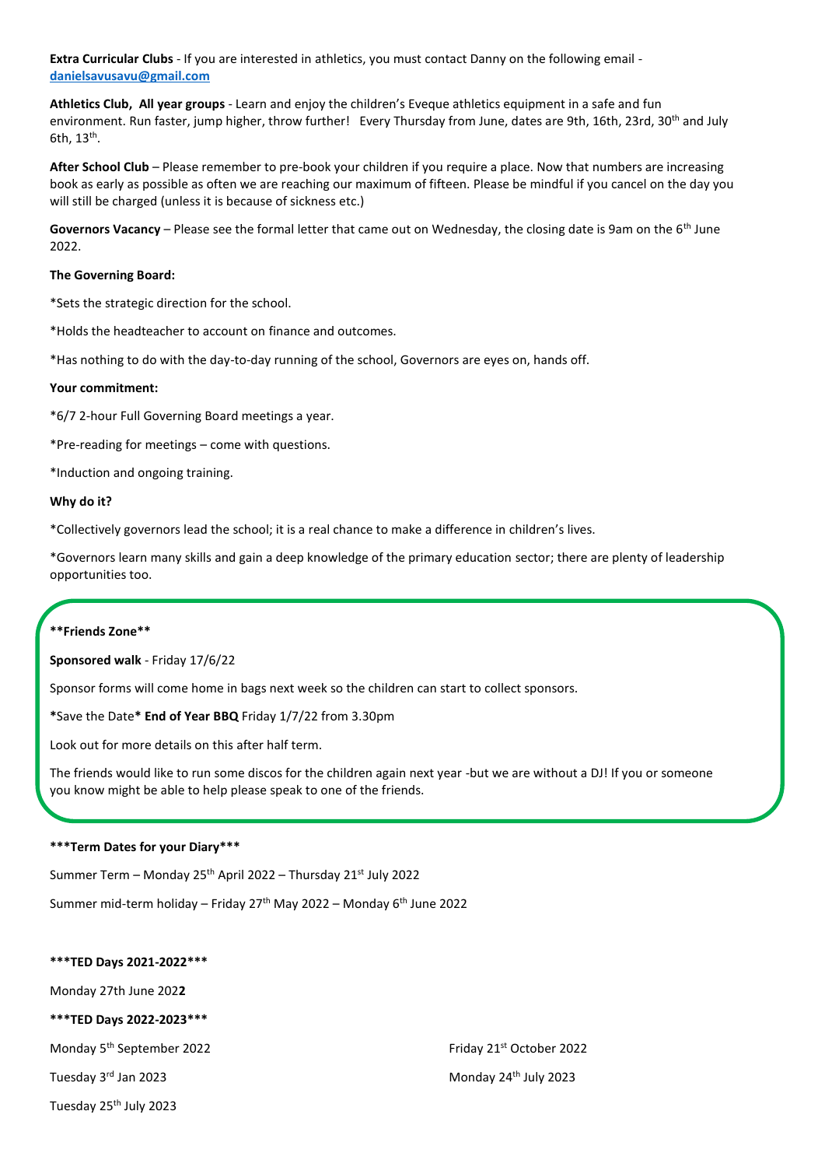**Extra Curricular Clubs** - If you are interested in athletics, you must contact Danny on the following email **[danielsavusavu@gmail.com](mailto:danielsavusavu@gmail.com)**

**Athletics Club, All year groups** - Learn and enjoy the children's Eveque athletics equipment in a safe and fun environment. Run faster, jump higher, throw further! Every Thursday from June, dates are 9th, 16th, 23rd, 30<sup>th</sup> and July 6th,  $13<sup>th</sup>$ .

**After School Club** – Please remember to pre-book your children if you require a place. Now that numbers are increasing book as early as possible as often we are reaching our maximum of fifteen. Please be mindful if you cancel on the day you will still be charged (unless it is because of sickness etc.)

Governors Vacancy – Please see the formal letter that came out on Wednesday, the closing date is 9am on the 6<sup>th</sup> June 2022.

## **The Governing Board:**

\*Sets the strategic direction for the school.

\*Holds the headteacher to account on finance and outcomes.

\*Has nothing to do with the day-to-day running of the school, Governors are eyes on, hands off.

## **Your commitment:**

\*6/7 2-hour Full Governing Board meetings a year.

\*Pre-reading for meetings – come with questions.

\*Induction and ongoing training.

## **Why do it?**

\*Collectively governors lead the school; it is a real chance to make a difference in children's lives.

\*Governors learn many skills and gain a deep knowledge of the primary education sector; there are plenty of leadership opportunities too.

## **\*\*Friends Zone\*\***

**Sponsored walk** - Friday 17/6/22

Sponsor forms will come home in bags next week so the children can start to collect sponsors.

**\***Save the Date**\* End of Year BBQ** Friday 1/7/22 from 3.30pm

Look out for more details on this after half term.

The friends would like to run some discos for the children again next year -but we are without a DJ! If you or someone you know might be able to help please speak to one of the friends.

## **\*\*\*Term Dates for your Diary\*\*\***

Summer Term – Monday 25th April 2022 – Thursday 21st July 2022

Summer mid-term holiday – Friday  $27<sup>th</sup>$  May 2022 – Monday 6<sup>th</sup> June 2022

## **\*\*\*TED Days 2021-2022\*\*\***

Monday 27th June 202**2**

**\*\*\*TED Days 2022-2023\*\*\***

Monday 5<sup>th</sup> September 2022 **Friday 21st October 2022** 

Tuesday 25<sup>th</sup> July 2023

Tuesday 3<sup>rd</sup> Jan 2023 **Monday 24<sup>th</sup> July 2023**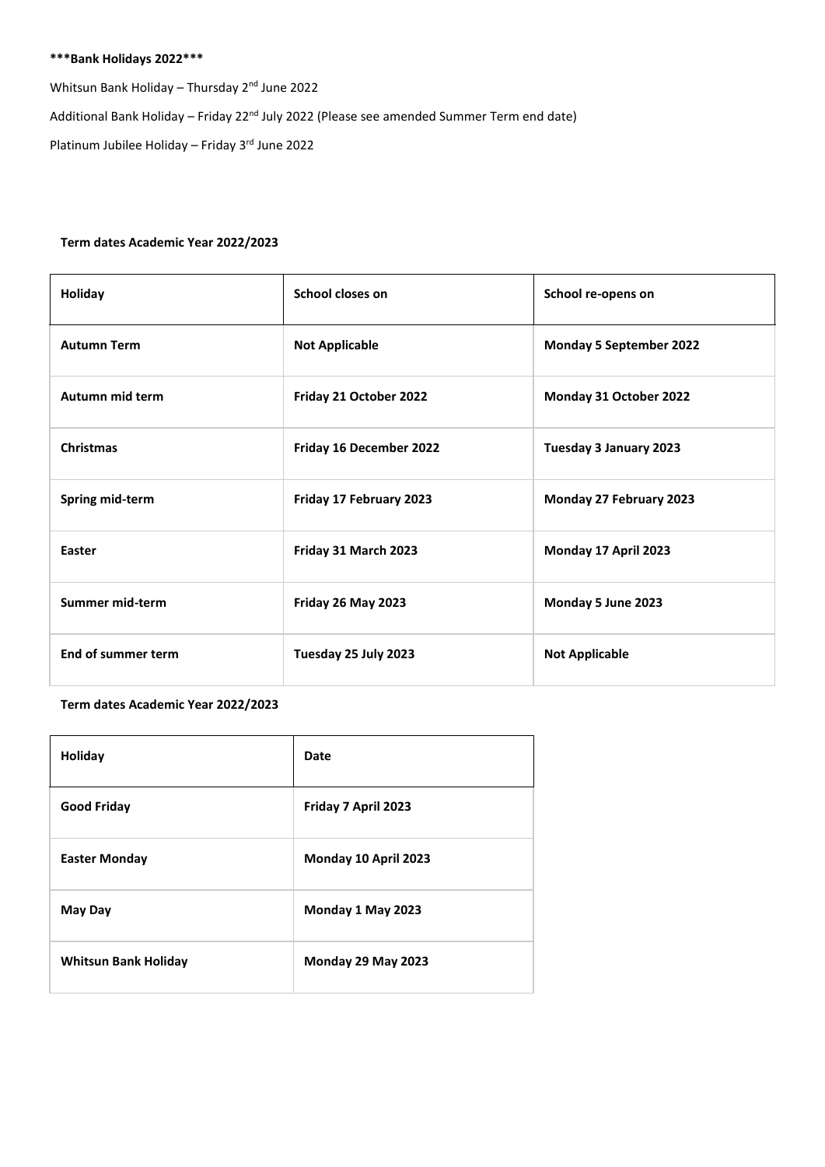# **\*\*\*Bank Holidays 2022\*\*\***

Whitsun Bank Holiday – Thursday 2nd June 2022

Additional Bank Holiday – Friday 22<sup>nd</sup> July 2022 (Please see amended Summer Term end date)

Platinum Jubilee Holiday - Friday 3rd June 2022

## **Term dates Academic Year 2022/2023**

| Holiday            | School closes on        | School re-opens on             |
|--------------------|-------------------------|--------------------------------|
| <b>Autumn Term</b> | <b>Not Applicable</b>   | <b>Monday 5 September 2022</b> |
| Autumn mid term    | Friday 21 October 2022  | Monday 31 October 2022         |
| <b>Christmas</b>   | Friday 16 December 2022 | Tuesday 3 January 2023         |
| Spring mid-term    | Friday 17 February 2023 | Monday 27 February 2023        |
| Easter             | Friday 31 March 2023    | Monday 17 April 2023           |
| Summer mid-term    | Friday 26 May 2023      | Monday 5 June 2023             |
| End of summer term | Tuesday 25 July 2023    | <b>Not Applicable</b>          |

## **Term dates Academic Year 2022/2023**

| Holiday                     | Date                 |
|-----------------------------|----------------------|
| <b>Good Friday</b>          | Friday 7 April 2023  |
| <b>Easter Monday</b>        | Monday 10 April 2023 |
| May Day                     | Monday 1 May 2023    |
| <b>Whitsun Bank Holiday</b> | Monday 29 May 2023   |